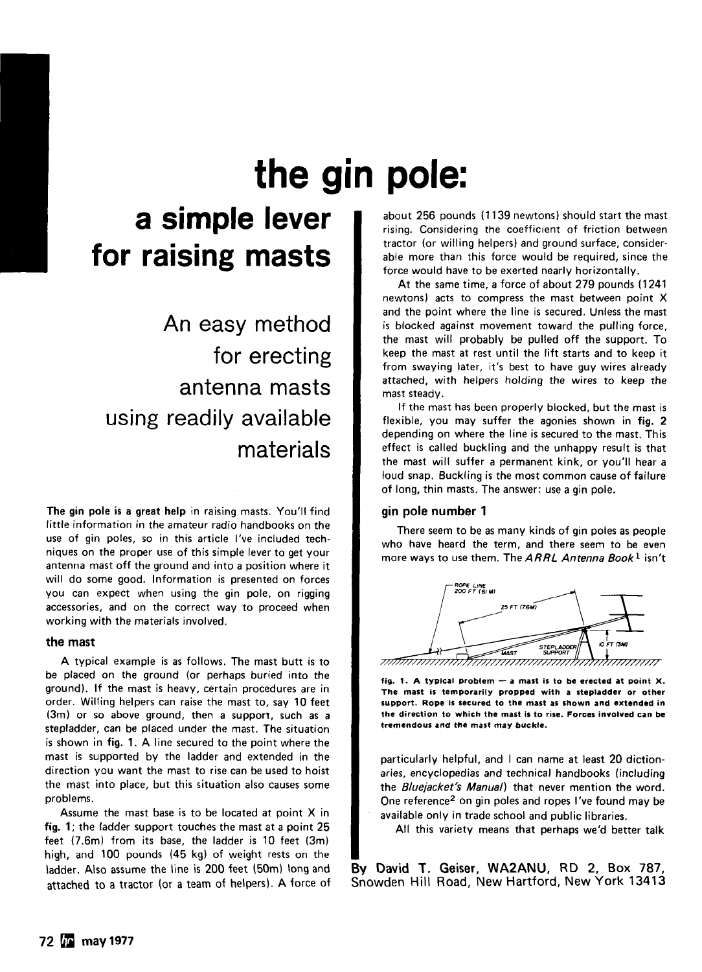# **the gin pole:**

# **a simple lever for raising masts**

An easy method for erecting antenna masts using readily available materials

The gin pole is a great help in raising masts. You'll find little information in the amateur radio handbooks on the use of gin poles, so in this article I've included techniques on the proper use of this simple lever to get your antenna mast off the ground and into a position where it will do some good. Information is presented on forces you can expect when using the gin pole, on rigging accessories, and on the correct way to proceed when working with the materials involved.

#### the mast

A typical example is as follows. The mast butt is to be placed on the ground (or perhaps buried into the ground). If the mast is heavy, certain procedures are in order. Willing helpers can raise the mast to, say 10 feet (3m) or so above ground, then a support, such as a stepladder, can be placed under the mast. The situation is shown in fig. 1. A line secured to the point where the mast is supported by the ladder and extended in the direction you want the mast to rise can be used to hoist the mast into place, but this situation also causes some problems.

Assume the mast base is to be located at point X in fig. 1; the ladder support touches the mast at a point 25 feet (7 .6m) from its base, the ladder is 10 feet (3m) high, and 100 pounds (45 kg) of weight rests on the ladder. Also assume the line is 200 feet (50m) long and attached to a tractor (or a team of helpers). A force of

about 256 pounds (1139 newtons) should start the mast rising. Considering the coefficient of friction between tractor (or willing helpers) and ground surface, considerable more than this force would be required, since the force would have to be exerted nearly horizontally.

At the same time, a force of about 279 pounds ( 1241 newtons) acts to compress the mast between point X and the point where the line is secured. Unless the mast is blocked against movement toward the pulling force, the mast will probably be pulled off the support. To keep the mast at rest until the lift starts and to keep it from swaying later, it's best to have guy wires already attached, with helpers holding the wires to keep the mast steady.

If the mast has been properly blocked, but the mast is flexible, you may suffer the agonies shown in fig. 2 depending on where the line is secured to the mast. This effect is called buckling and the unhappy result is that the mast will suffer a permanent kink, or you'll hear a loud snap. Buckling is the most common cause of failure of long, thin masts. The answer: use a gin pole.

## gin pole number 1

There seem to be as many kinds of gin poles as people who have heard the term, and there seem to be even more ways to use them. The  $ARRL$  Antenna Book<sup>1</sup> isn't



fig. 1. A typical problem  $-$  a mast is to be erected at point X. The mast is temporarily propped with a stepladder or other support. Rope is secured to the mast as shown and extended in the direction to which the mast is to rise. Forces involved can be tremendous and the mast may buckle.

particularly helpful, and I can name at least 20 dictionaries, encyclopedias and technical handbooks (including the Bluejacket's Manual) that never mention the word. One reference<sup>2</sup> on gin poles and ropes I've found may be available only in trade school and public libraries.

All this variety means that perhaps we'd better talk

By David T. Geiser, WA2ANU, RD 2, Box 787, Snowden Hill Road, New Hartford, New York 13413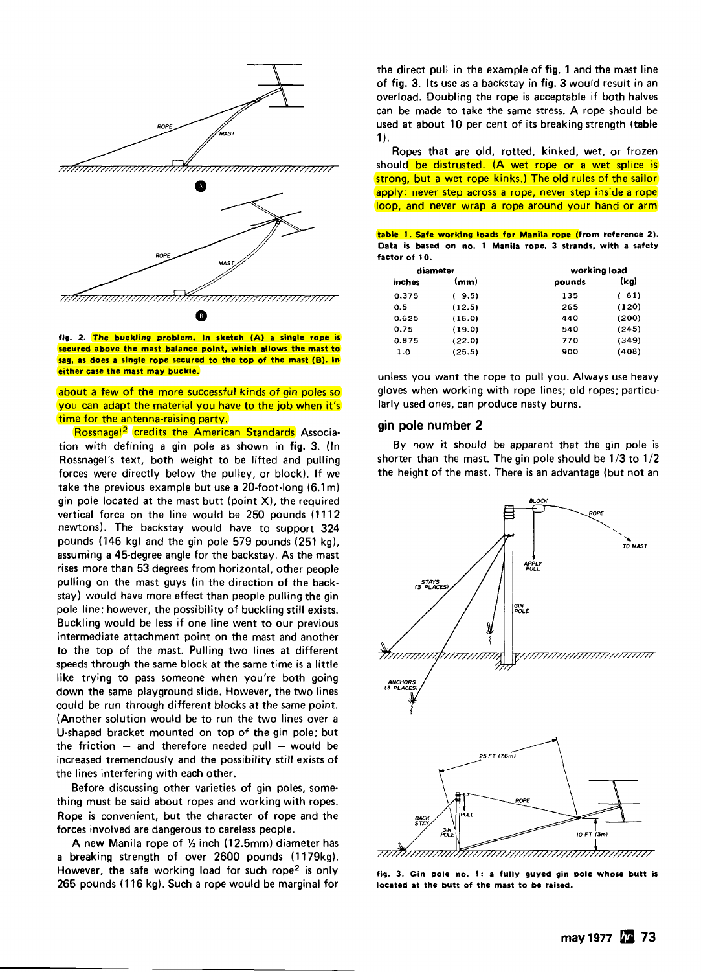

fig. 2. The buckling problem. In sketch (A) a single rope is secured above the mast balance point, which allows the mast to sag, as does a single rope secured to the top of the mast (B). In either case the mast may buckle.

about a few of the more successful kinds of gin poles so you can adapt the material you have to the job when it's time for the antenna-raising party.

Rossnagel<sup>2</sup> credits the American Standards Association with defining a gin pole as shown in fig. 3. (In Rossnagel 's text, both weight to be lifted and pulling forces were directly below the pulley, or block). If we take the previous example but use a 20-foot·long (6.1 m) gin pole located at the mast butt (point X), the required vertical force on the line would be 250 pounds (1112 newtons). The backstay would have to support 324 pounds (146 kg) and the gin pole 579 pounds (251 kg), assuming a 45-degree angle for the backstay. As the mast rises more than 53 degrees from horizontal, other people pulling on the mast guys (in the direction of the backstay) would have more effect than people pulling the gin pole line; however, the possibility of buckling still exists. Buckling would be less if one line went to our previous intermediate attachment point on the mast and another to the top of the mast. Pulling two lines at different speeds through the same block at the same time is a little like trying to pass someone when you're both going down the same playground slide. However, the two lines could be run through different blocks at the same point. (Another solution would be to run the two lines over a U-shaped bracket mounted on top of the gin pole; but the friction  $-$  and therefore needed pull  $-$  would be increased tremendously and the possibility still exists of the lines interfering with each other.

Before discussing other varieties of gin poles, some· thing must be said about ropes and working with ropes. Rope is convenient, but the character of rope and the forces involved are dangerous to careless people.

A new Manila rope of  $\frac{1}{2}$  inch (12.5mm) diameter has a breaking strength of over 2600 pounds (1179kg). However, the safe working load for such rope<sup>2</sup> is only 265 pounds (116 kg). Such a rope would be marginal for

the direct pull in the example of fig. 1 and the mast line of fig. 3. Its use as a backstay in fig. 3 would result in an overload. Doubling the rope is acceptable if both halves can be made to take the same stress. A rope should be used at about 10 per cent of its breaking strength (table  $1$ .

Ropes that are old, rotted, kinked, wet, or frozen should be distrusted. (A wet rope or a wet splice is strong, but a wet rope kinks.) The old rules of the sailor apply: never step across a rope, never step inside a rope loop, and never wrap a rope around your hand or arm

|               |  |  |  | table 1. Safe working loads for Manila rope (from reference 2). |  |  |  |  |
|---------------|--|--|--|-----------------------------------------------------------------|--|--|--|--|
|               |  |  |  | Data is based on no. 1 Manila rope, 3 strands, with a safety    |  |  |  |  |
| factor of 10. |  |  |  |                                                                 |  |  |  |  |

| diameter |        | working load |       |  |  |  |  |
|----------|--------|--------------|-------|--|--|--|--|
| inches   | (mm)   | pounds       | (kg)  |  |  |  |  |
| 0.375    | (9.5)  | 135          | 61)   |  |  |  |  |
| 0.5      | (12.5) | 265          | (120) |  |  |  |  |
| 0.625    | (16.0) | 440          | (200) |  |  |  |  |
| 0.75     | (19.0) | 540          | (245) |  |  |  |  |
| 0.875    | (22.0) | 770          | (349) |  |  |  |  |
| 1.0      | (25.5) | 900          | (408) |  |  |  |  |

unless you want the rope to pull you. Always use heavy gloves when working with rope lines; old ropes; particularly used ones, can produce nasty burns.

### gin pole number 2

By now it should be apparent that the gin pole is shorter than the mast. The gin pole should be 1/3 to 1/2 the height of the mast. There is an advantage (but not an



fig. 3. Gin pole no. 1: a fully guyed gin pole whose butt is located at the butt of the mast to be raised.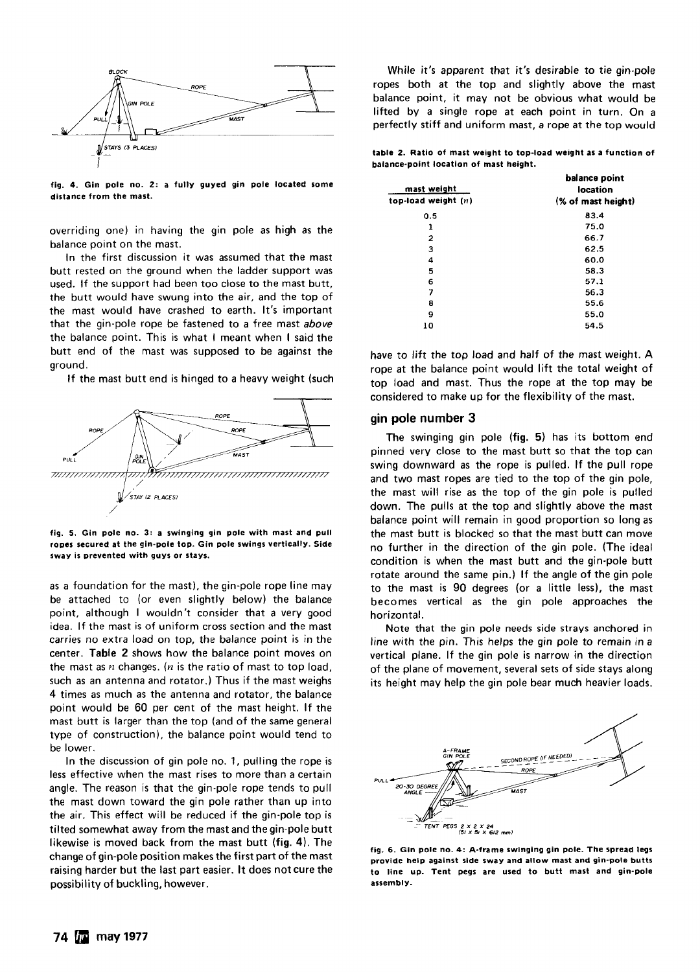

fig. 4. Gin pole no. 2: a fully guyed gin pole located some distance from the mast.

overriding one) in having the gin pole as high as the balance point on the mast.

In the first discussion it was assumed that the mast butt rested on the ground when the ladder support was used. If the support had been too close to the mast butt, the butt would have swung into the air, and the top of the mast would have crashed to earth. It's important that the gin-pole rope be fastened to a free mast above the balance point. This is what I meant when I said the butt end of the mast was supposed to be against the ground.

If the mast butt end is hinged to a heavy weight (such



fig. 5. Gin pole no. 3: a swinging gin pole with mast and pull ropes secured at the gin-pole top. Gin pole swings vertically. Side sway is prevented with guys or stays.

as a foundation for the mast), the gin-pole rope line may be attached to (or even slightly below) the balance point, although I wouldn't consider that a very good idea. If the mast is of uniform cross section and the mast carries no extra load on top, the balance point is in the center. Table 2 shows how the balance point moves on the mast as *n* changes. (n is the ratio of mast to top load, such as an antenna and rotator.) Thus if the mast weighs 4 times as much as the antenna and rotator, the balance point would be 60 per cent of the mast height. If the mast butt is larger than the top (and of the same general type of construction). the balance point would tend to be lower.

In the discussion of gin pole no. 1, pulling the rope is less effective when the mast rises to more than a certain angle. The reason is that the gin-pole rope tends to pull the mast down toward the gin pole rather than up into the air. This effect will be reduced if the gin-pole top is tilted somewhat away from the mast and the gin-pole butt likewise is moved back from the mast butt (fig. 4). The change of gin-pole position makes the first part of the mast raising harder but the last part easier. It does not cure the possibility of buckling, however.

While it's apparent that it's desirable to tie gin-pole ropes both at the top and slightly above the mast balance point, it may not be obvious what would be lifted by a single rope at each point in turn. On a perfectly stiff and uniform mast, a rope at the top would

table 2. Ratio of mast weight to top-load weight as a function of balance-point location of mast height.

| mast weight<br>top-load weight (n) | balance point<br>location<br>(% of mast height) |  |  |  |  |
|------------------------------------|-------------------------------------------------|--|--|--|--|
| 0.5                                | 83.4                                            |  |  |  |  |
| 1                                  | 75.0                                            |  |  |  |  |
| 2                                  | 66.7                                            |  |  |  |  |
| 3                                  | 62.5                                            |  |  |  |  |
| 4                                  | 60.0                                            |  |  |  |  |
| 5                                  | 58.3                                            |  |  |  |  |
| 6                                  | 57.1                                            |  |  |  |  |
| 7                                  | 56.3                                            |  |  |  |  |
| 8                                  | 55.6                                            |  |  |  |  |
| 9                                  | 55.0                                            |  |  |  |  |
| 10                                 | 54.5                                            |  |  |  |  |
|                                    |                                                 |  |  |  |  |

have to lift the top load and half of the mast weight. A rope at the balance point would lift the total weight of top load and mast. Thus the rope at the top may be considered to make up for the flexibility of the mast.

#### gin pole number 3

The swinging gin pole (fig. 5) has its bottom end pinned very close to the mast butt so that the top can swing downward as the rope is pulled. If the pull rope and two mast ropes are tied to the top of the gin pole, the mast will rise as the top of the gin pole is pulled down. The pulls at the top and slightly above the mast balance point will remain in good proportion so long as the mast butt is blocked so that the mast butt can move no further in the direction of the gin pole. (The ideal condition is when the mast butt and the gin-pole butt rotate around the same pin.) If the angle of the gin pole to the mast is 90 degrees (or a little less), the mast becomes vertical as the gin pole approaches the horizontal.

Note that the gin pole needs side strays anchored in line with the pin. This helps the gin pole to remain in a vertical plane. If the gin pole is narrow in the direction of the plane of movement, several sets of side stays along its height may help the gin pole bear much heavier loads.



fig. 6. Gin pole no. 4: A·frame swinging gin pole. The spread legs provide help against side sway and allow mast and gin·pole butts to line up. Tent pegs are used to butt mast and gin-pole assembly.